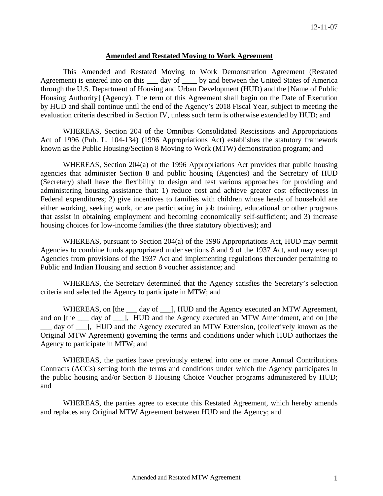#### **Amended and Restated Moving to Work Agreement**

This Amended and Restated Moving to Work Demonstration Agreement (Restated Agreement) is entered into on this \_\_\_ day of \_\_\_\_ by and between the United States of America through the U.S. Department of Housing and Urban Development (HUD) and the [Name of Public Housing Authority] (Agency). The term of this Agreement shall begin on the Date of Execution by HUD and shall continue until the end of the Agency's 2018 Fiscal Year, subject to meeting the evaluation criteria described in Section IV, unless such term is otherwise extended by HUD; and

WHEREAS, Section 204 of the Omnibus Consolidated Rescissions and Appropriations Act of 1996 (Pub. L. 104-134) (1996 Appropriations Act) establishes the statutory framework known as the Public Housing/Section 8 Moving to Work (MTW) demonstration program; and

WHEREAS, Section 204(a) of the 1996 Appropriations Act provides that public housing agencies that administer Section 8 and public housing (Agencies) and the Secretary of HUD (Secretary) shall have the flexibility to design and test various approaches for providing and administering housing assistance that: 1) reduce cost and achieve greater cost effectiveness in Federal expenditures; 2) give incentives to families with children whose heads of household are either working, seeking work, or are participating in job training, educational or other programs that assist in obtaining employment and becoming economically self-sufficient; and 3) increase housing choices for low-income families (the three statutory objectives); and

WHEREAS, pursuant to Section 204(a) of the 1996 Appropriations Act, HUD may permit Agencies to combine funds appropriated under sections 8 and 9 of the 1937 Act, and may exempt Agencies from provisions of the 1937 Act and implementing regulations thereunder pertaining to Public and Indian Housing and section 8 voucher assistance; and

 WHEREAS, the Secretary determined that the Agency satisfies the Secretary's selection criteria and selected the Agency to participate in MTW; and

WHEREAS, on [the <u>equal</u>], HUD and the Agency executed an MTW Agreement, and on [the \_\_\_ day of \_\_\_ ], HUD and the Agency executed an MTW Amendment, and on [the \_\_\_ day of \_\_\_], HUD and the Agency executed an MTW Extension, (collectively known as the Original MTW Agreement) governing the terms and conditions under which HUD authorizes the Agency to participate in MTW; and

 WHEREAS, the parties have previously entered into one or more Annual Contributions Contracts (ACCs) setting forth the terms and conditions under which the Agency participates in the public housing and/or Section 8 Housing Choice Voucher programs administered by HUD; and

WHEREAS, the parties agree to execute this Restated Agreement, which hereby amends and replaces any Original MTW Agreement between HUD and the Agency; and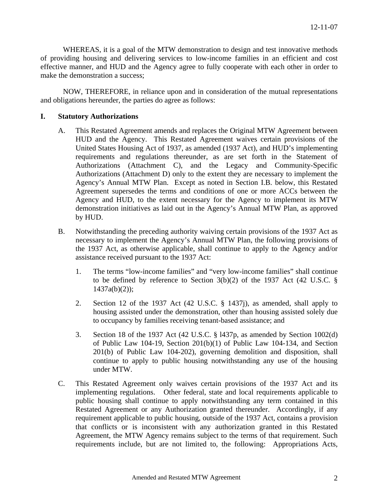WHEREAS, it is a goal of the MTW demonstration to design and test innovative methods of providing housing and delivering services to low-income families in an efficient and cost effective manner, and HUD and the Agency agree to fully cooperate with each other in order to make the demonstration a success;

NOW, THEREFORE, in reliance upon and in consideration of the mutual representations and obligations hereunder, the parties do agree as follows:

## **I. Statutory Authorizations**

- A. This Restated Agreement amends and replaces the Original MTW Agreement between HUD and the Agency. This Restated Agreement waives certain provisions of the United States Housing Act of 1937, as amended (1937 Act), and HUD's implementing requirements and regulations thereunder, as are set forth in the Statement of Authorizations (Attachment C), and the Legacy and Community-Specific Authorizations (Attachment D) only to the extent they are necessary to implement the Agency's Annual MTW Plan. Except as noted in Section I.B. below, this Restated Agreement supersedes the terms and conditions of one or more ACCs between the Agency and HUD, to the extent necessary for the Agency to implement its MTW demonstration initiatives as laid out in the Agency's Annual MTW Plan, as approved by HUD.
- B. Notwithstanding the preceding authority waiving certain provisions of the 1937 Act as necessary to implement the Agency's Annual MTW Plan, the following provisions of the 1937 Act, as otherwise applicable, shall continue to apply to the Agency and/or assistance received pursuant to the 1937 Act:
	- 1. The terms "low-income families" and "very low-income families" shall continue to be defined by reference to Section  $3(b)(2)$  of the 1937 Act (42 U.S.C. §  $1437a(b)(2)$ ;
	- 2. Section 12 of the 1937 Act (42 U.S.C. § 1437j), as amended, shall apply to housing assisted under the demonstration, other than housing assisted solely due to occupancy by families receiving tenant-based assistance; and
	- 3. Section 18 of the 1937 Act (42 U.S.C. § l437p, as amended by Section 1002(d) of Public Law 104-19, Section 201(b)(1) of Public Law 104-134, and Section 201(b) of Public Law 104-202), governing demolition and disposition, shall continue to apply to public housing notwithstanding any use of the housing under MTW.
- C. This Restated Agreement only waives certain provisions of the 1937 Act and its implementing regulations. Other federal, state and local requirements applicable to public housing shall continue to apply notwithstanding any term contained in this Restated Agreement or any Authorization granted thereunder. Accordingly, if any requirement applicable to public housing, outside of the 1937 Act, contains a provision that conflicts or is inconsistent with any authorization granted in this Restated Agreement, the MTW Agency remains subject to the terms of that requirement. Such requirements include, but are not limited to, the following: Appropriations Acts,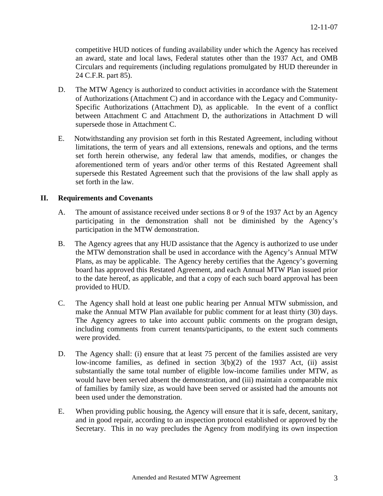competitive HUD notices of funding availability under which the Agency has received an award, state and local laws, Federal statutes other than the 1937 Act, and OMB Circulars and requirements (including regulations promulgated by HUD thereunder in 24 C.F.R. part 85).

- D. The MTW Agency is authorized to conduct activities in accordance with the Statement of Authorizations (Attachment C) and in accordance with the Legacy and Community-Specific Authorizations (Attachment D), as applicable. In the event of a conflict between Attachment C and Attachment D, the authorizations in Attachment D will supersede those in Attachment C.
- E. Notwithstanding any provision set forth in this Restated Agreement, including without limitations, the term of years and all extensions, renewals and options, and the terms set forth herein otherwise, any federal law that amends, modifies, or changes the aforementioned term of years and/or other terms of this Restated Agreement shall supersede this Restated Agreement such that the provisions of the law shall apply as set forth in the law.

# **II. Requirements and Covenants**

- A. The amount of assistance received under sections 8 or 9 of the 1937 Act by an Agency participating in the demonstration shall not be diminished by the Agency's participation in the MTW demonstration.
- B. The Agency agrees that any HUD assistance that the Agency is authorized to use under the MTW demonstration shall be used in accordance with the Agency's Annual MTW Plans, as may be applicable. The Agency hereby certifies that the Agency's governing board has approved this Restated Agreement, and each Annual MTW Plan issued prior to the date hereof, as applicable, and that a copy of each such board approval has been provided to HUD.
- C. The Agency shall hold at least one public hearing per Annual MTW submission, and make the Annual MTW Plan available for public comment for at least thirty (30) days. The Agency agrees to take into account public comments on the program design, including comments from current tenants/participants, to the extent such comments were provided.
- D. The Agency shall: (i) ensure that at least 75 percent of the families assisted are very low-income families, as defined in section 3(b)(2) of the 1937 Act, (ii) assist substantially the same total number of eligible low-income families under MTW, as would have been served absent the demonstration, and (iii) maintain a comparable mix of families by family size, as would have been served or assisted had the amounts not been used under the demonstration.
- E. When providing public housing, the Agency will ensure that it is safe, decent, sanitary, and in good repair, according to an inspection protocol established or approved by the Secretary. This in no way precludes the Agency from modifying its own inspection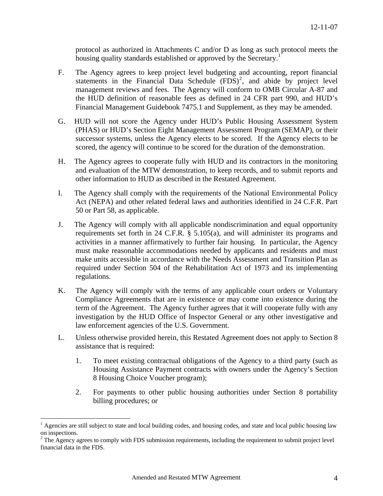protocol as authorized in Attachments C and/or D as long as such protocol meets the housing quality standards established or approved by the Secretary.<sup>[1](#page-3-0)</sup>

- F. The Agency agrees to keep project level budgeting and accounting, report financial statements in the Financial Data Schedule  $(FDS)^2$  $(FDS)^2$ , and abide by project level management reviews and fees. The Agency will conform to OMB Circular A-87 and the HUD definition of reasonable fees as defined in 24 CFR part 990, and HUD's Financial Management Guidebook 7475.1 and Supplement, as they may be amended.
- G. HUD will not score the Agency under HUD's Public Housing Assessment System (PHAS) or HUD's Section Eight Management Assessment Program (SEMAP), or their successor systems, unless the Agency elects to be scored. If the Agency elects to be scored, the agency will continue to be scored for the duration of the demonstration.
- H. The Agency agrees to cooperate fully with HUD and its contractors in the monitoring and evaluation of the MTW demonstration, to keep records, and to submit reports and other information to HUD as described in the Restated Agreement.
- I. The Agency shall comply with the requirements of the National Environmental Policy Act (NEPA) and other related federal laws and authorities identified in 24 C.F.R. Part 50 or Part 58, as applicable.
- J. The Agency will comply with all applicable nondiscrimination and equal opportunity requirements set forth in 24 C.F.R. § 5.105(a), and will administer its programs and activities in a manner affirmatively to further fair housing. In particular, the Agency must make reasonable accommodations needed by applicants and residents and must make units accessible in accordance with the Needs Assessment and Transition Plan as required under Section 504 of the Rehabilitation Act of 1973 and its implementing regulations.
- K. The Agency will comply with the terms of any applicable court orders or Voluntary Compliance Agreements that are in existence or may come into existence during the term of the Agreement. The Agency further agrees that it will cooperate fully with any investigation by the HUD Office of Inspector General or any other investigative and law enforcement agencies of the U.S. Government.
- L. Unless otherwise provided herein, this Restated Agreement does not apply to Section 8 assistance that is required:
	- 1. To meet existing contractual obligations of the Agency to a third party (such as Housing Assistance Payment contracts with owners under the Agency's Section 8 Housing Choice Voucher program);
	- 2. For payments to other public housing authorities under Section 8 portability billing procedures; or

 $\overline{a}$ 

<span id="page-3-0"></span> $<sup>1</sup>$  Agencies are still subject to state and local building codes, and housing codes, and state and local public housing law</sup> on inspections.

<span id="page-3-1"></span> $2^2$  The Agency agrees to comply with FDS submission requirements, including the requirement to submit project level financial data in the FDS.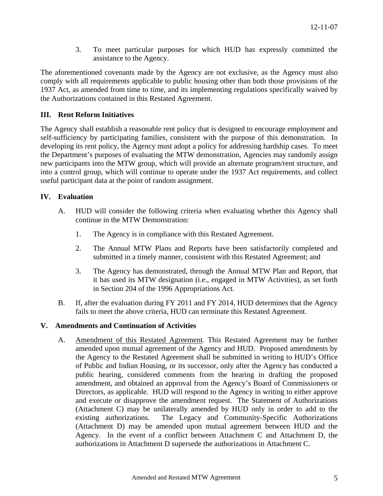3. To meet particular purposes for which HUD has expressly committed the assistance to the Agency.

The aforementioned covenants made by the Agency are not exclusive, as the Agency must also comply with all requirements applicable to public housing other than both those provisions of the 1937 Act, as amended from time to time, and its implementing regulations specifically waived by the Authorizations contained in this Restated Agreement.

# **III. Rent Reform Initiatives**

The Agency shall establish a reasonable rent policy that is designed to encourage employment and self-sufficiency by participating families, consistent with the purpose of this demonstration. In developing its rent policy, the Agency must adopt a policy for addressing hardship cases. To meet the Department's purposes of evaluating the MTW demonstration, Agencies may randomly assign new participants into the MTW group, which will provide an alternate program/rent structure, and into a control group, which will continue to operate under the 1937 Act requirements, and collect useful participant data at the point of random assignment.

# **IV. Evaluation**

- A. HUD will consider the following criteria when evaluating whether this Agency shall continue in the MTW Demonstration:
	- 1. The Agency is in compliance with this Restated Agreement.
	- 2. The Annual MTW Plans and Reports have been satisfactorily completed and submitted in a timely manner, consistent with this Restated Agreement; and
	- 3. The Agency has demonstrated, through the Annual MTW Plan and Report, that it has used its MTW designation (i.e., engaged in MTW Activities), as set forth in Section 204 of the 1996 Appropriations Act.
- B. If, after the evaluation during FY 2011 and FY 2014, HUD determines that the Agency fails to meet the above criteria, HUD can terminate this Restated Agreement.

## **V. Amendments and Continuation of Activities**

A. Amendment of this Restated Agreement. This Restated Agreement may be further amended upon mutual agreement of the Agency and HUD. Proposed amendments by the Agency to the Restated Agreement shall be submitted in writing to HUD's Office of Public and Indian Housing, or its successor, only after the Agency has conducted a public hearing, considered comments from the hearing in drafting the proposed amendment, and obtained an approval from the Agency's Board of Commissioners or Directors, as applicable. HUD will respond to the Agency in writing to either approve and execute or disapprove the amendment request. The Statement of Authorizations (Attachment C) may be unilaterally amended by HUD only in order to add to the existing authorizations. The Legacy and Community-Specific Authorizations (Attachment D) may be amended upon mutual agreement between HUD and the Agency. In the event of a conflict between Attachment C and Attachment D, the authorizations in Attachment D supersede the authorizations in Attachment C.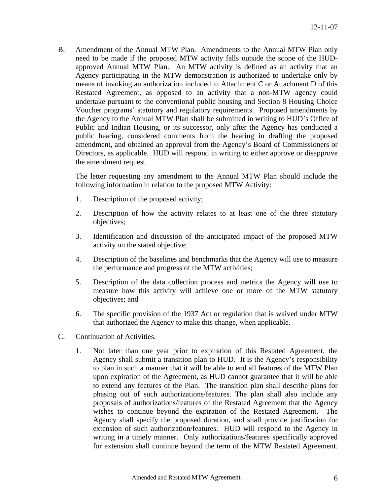B. Amendment of the Annual MTW Plan. Amendments to the Annual MTW Plan only need to be made if the proposed MTW activity falls outside the scope of the HUDapproved Annual MTW Plan. An MTW activity is defined as an activity that an Agency participating in the MTW demonstration is authorized to undertake only by means of invoking an authorization included in Attachment C or Attachment D of this Restated Agreement, as opposed to an activity that a non-MTW agency could undertake pursuant to the conventional public housing and Section 8 Housing Choice Voucher programs' statutory and regulatory requirements. Proposed amendments by the Agency to the Annual MTW Plan shall be submitted in writing to HUD's Office of Public and Indian Housing, or its successor, only after the Agency has conducted a public hearing, considered comments from the hearing in drafting the proposed amendment, and obtained an approval from the Agency's Board of Commissioners or Directors, as applicable. HUD will respond in writing to either approve or disapprove the amendment request.

The letter requesting any amendment to the Annual MTW Plan should include the following information in relation to the proposed MTW Activity:

- 1. Description of the proposed activity;
- 2. Description of how the activity relates to at least one of the three statutory objectives;
- 3. Identification and discussion of the anticipated impact of the proposed MTW activity on the stated objective;
- 4. Description of the baselines and benchmarks that the Agency will use to measure the performance and progress of the MTW activities;
- 5. Description of the data collection process and metrics the Agency will use to measure how this activity will achieve one or more of the MTW statutory objectives; and
- 6. The specific provision of the 1937 Act or regulation that is waived under MTW that authorized the Agency to make this change, when applicable.
- C. Continuation of Activities.
	- 1. Not later than one year prior to expiration of this Restated Agreement, the Agency shall submit a transition plan to HUD. It is the Agency's responsibility to plan in such a manner that it will be able to end all features of the MTW Plan upon expiration of the Agreement, as HUD cannot guarantee that it will be able to extend any features of the Plan. The transition plan shall describe plans for phasing out of such authorizations/features. The plan shall also include any proposals of authorizations/features of the Restated Agreement that the Agency wishes to continue beyond the expiration of the Restated Agreement. The Agency shall specify the proposed duration, and shall provide justification for extension of such authorization/features. HUD will respond to the Agency in writing in a timely manner. Only authorizations/features specifically approved for extension shall continue beyond the term of the MTW Restated Agreement.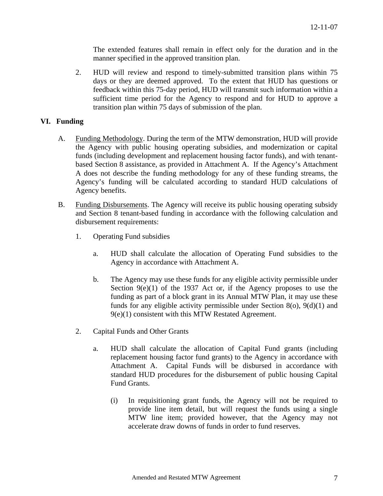The extended features shall remain in effect only for the duration and in the manner specified in the approved transition plan.

2. HUD will review and respond to timely-submitted transition plans within 75 days or they are deemed approved. To the extent that HUD has questions or feedback within this 75-day period, HUD will transmit such information within a sufficient time period for the Agency to respond and for HUD to approve a transition plan within 75 days of submission of the plan.

## **VI. Funding**

- A. Funding Methodology. During the term of the MTW demonstration, HUD will provide the Agency with public housing operating subsidies, and modernization or capital funds (including development and replacement housing factor funds), and with tenantbased Section 8 assistance, as provided in Attachment A. If the Agency's Attachment A does not describe the funding methodology for any of these funding streams, the Agency's funding will be calculated according to standard HUD calculations of Agency benefits.
- B. Funding Disbursements. The Agency will receive its public housing operating subsidy and Section 8 tenant-based funding in accordance with the following calculation and disbursement requirements:
	- 1. Operating Fund subsidies
		- a. HUD shall calculate the allocation of Operating Fund subsidies to the Agency in accordance with Attachment A.
		- b. The Agency may use these funds for any eligible activity permissible under Section  $9(e)(1)$  of the 1937 Act or, if the Agency proposes to use the funding as part of a block grant in its Annual MTW Plan, it may use these funds for any eligible activity permissible under Section 8(o), 9(d)(1) and 9(e)(1) consistent with this MTW Restated Agreement.
	- 2. Capital Funds and Other Grants
		- a. HUD shall calculate the allocation of Capital Fund grants (including replacement housing factor fund grants) to the Agency in accordance with Attachment A. Capital Funds will be disbursed in accordance with standard HUD procedures for the disbursement of public housing Capital Fund Grants.
			- (i) In requisitioning grant funds, the Agency will not be required to provide line item detail, but will request the funds using a single MTW line item; provided however, that the Agency may not accelerate draw downs of funds in order to fund reserves.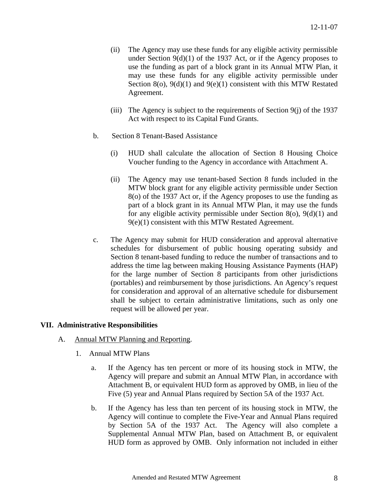- (ii) The Agency may use these funds for any eligible activity permissible under Section  $9(d)(1)$  of the 1937 Act, or if the Agency proposes to use the funding as part of a block grant in its Annual MTW Plan, it may use these funds for any eligible activity permissible under Section 8(o), 9(d)(1) and 9(e)(1) consistent with this MTW Restated Agreement.
- (iii) The Agency is subject to the requirements of Section 9(j) of the 1937 Act with respect to its Capital Fund Grants.
- b. Section 8 Tenant-Based Assistance
	- (i) HUD shall calculate the allocation of Section 8 Housing Choice Voucher funding to the Agency in accordance with Attachment A.
	- (ii) The Agency may use tenant-based Section 8 funds included in the MTW block grant for any eligible activity permissible under Section 8(o) of the 1937 Act or, if the Agency proposes to use the funding as part of a block grant in its Annual MTW Plan, it may use the funds for any eligible activity permissible under Section 8(o), 9(d)(1) and 9(e)(1) consistent with this MTW Restated Agreement.
- c. The Agency may submit for HUD consideration and approval alternative schedules for disbursement of public housing operating subsidy and Section 8 tenant-based funding to reduce the number of transactions and to address the time lag between making Housing Assistance Payments (HAP) for the large number of Section 8 participants from other jurisdictions (portables) and reimbursement by those jurisdictions. An Agency's request for consideration and approval of an alternative schedule for disbursement shall be subject to certain administrative limitations, such as only one request will be allowed per year.

## **VII. Administrative Responsibilities**

- A. Annual MTW Planning and Reporting.
	- 1. Annual MTW Plans
		- a. If the Agency has ten percent or more of its housing stock in MTW, the Agency will prepare and submit an Annual MTW Plan, in accordance with Attachment B, or equivalent HUD form as approved by OMB, in lieu of the Five (5) year and Annual Plans required by Section 5A of the 1937 Act.
		- b. If the Agency has less than ten percent of its housing stock in MTW, the Agency will continue to complete the Five-Year and Annual Plans required by Section 5A of the 1937 Act. The Agency will also complete a Supplemental Annual MTW Plan, based on Attachment B, or equivalent HUD form as approved by OMB. Only information not included in either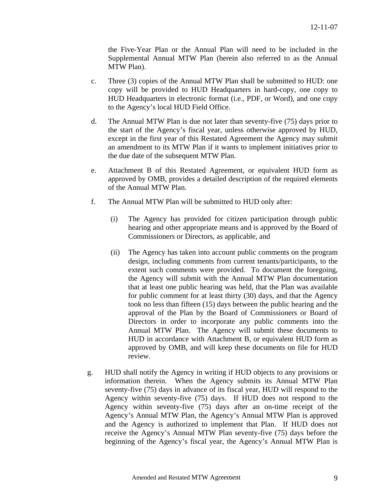the Five-Year Plan or the Annual Plan will need to be included in the Supplemental Annual MTW Plan (herein also referred to as the Annual MTW Plan).

- c. Three (3) copies of the Annual MTW Plan shall be submitted to HUD: one copy will be provided to HUD Headquarters in hard-copy, one copy to HUD Headquarters in electronic format (i.e., PDF, or Word), and one copy to the Agency's local HUD Field Office.
- d. The Annual MTW Plan is due not later than seventy-five (75) days prior to the start of the Agency's fiscal year, unless otherwise approved by HUD, except in the first year of this Restated Agreement the Agency may submit an amendment to its MTW Plan if it wants to implement initiatives prior to the due date of the subsequent MTW Plan.
- e. Attachment B of this Restated Agreement, or equivalent HUD form as approved by OMB, provides a detailed description of the required elements of the Annual MTW Plan.
- f. The Annual MTW Plan will be submitted to HUD only after:
	- (i) The Agency has provided for citizen participation through public hearing and other appropriate means and is approved by the Board of Commissioners or Directors, as applicable, and
	- (ii) The Agency has taken into account public comments on the program design, including comments from current tenants/participants, to the extent such comments were provided. To document the foregoing, the Agency will submit with the Annual MTW Plan documentation that at least one public hearing was held, that the Plan was available for public comment for at least thirty (30) days, and that the Agency took no less than fifteen (15) days between the public hearing and the approval of the Plan by the Board of Commissioners or Board of Directors in order to incorporate any public comments into the Annual MTW Plan. The Agency will submit these documents to HUD in accordance with Attachment B, or equivalent HUD form as approved by OMB, and will keep these documents on file for HUD review.
- g. HUD shall notify the Agency in writing if HUD objects to any provisions or information therein. When the Agency submits its Annual MTW Plan seventy-five (75) days in advance of its fiscal year, HUD will respond to the Agency within seventy-five (75) days. If HUD does not respond to the Agency within seventy-five (75) days after an on-time receipt of the Agency's Annual MTW Plan, the Agency's Annual MTW Plan is approved and the Agency is authorized to implement that Plan. If HUD does not receive the Agency's Annual MTW Plan seventy-five (75) days before the beginning of the Agency's fiscal year, the Agency's Annual MTW Plan is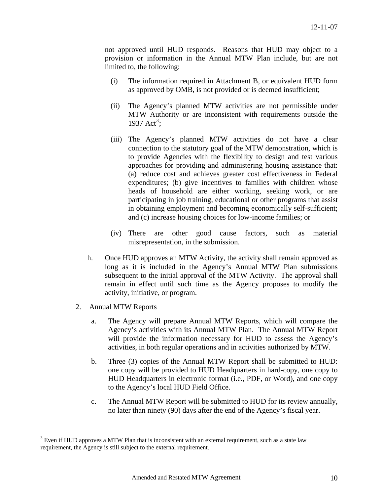not approved until HUD responds. Reasons that HUD may object to a provision or information in the Annual MTW Plan include, but are not limited to, the following:

- (i) The information required in Attachment B, or equivalent HUD form as approved by OMB, is not provided or is deemed insufficient;
- (ii) The Agency's planned MTW activities are not permissible under MTW Authority or are inconsistent with requirements outside the 19[3](#page-9-0)7  $Act^3$ ;
- (iii) The Agency's planned MTW activities do not have a clear connection to the statutory goal of the MTW demonstration, which is to provide Agencies with the flexibility to design and test various approaches for providing and administering housing assistance that: (a) reduce cost and achieves greater cost effectiveness in Federal expenditures; (b) give incentives to families with children whose heads of household are either working, seeking work, or are participating in job training, educational or other programs that assist in obtaining employment and becoming economically self-sufficient; and (c) increase housing choices for low-income families; or
- (iv) There are other good cause factors, such as material misrepresentation, in the submission.
- h. Once HUD approves an MTW Activity, the activity shall remain approved as long as it is included in the Agency's Annual MTW Plan submissions subsequent to the initial approval of the MTW Activity. The approval shall remain in effect until such time as the Agency proposes to modify the activity, initiative, or program.
- 2. Annual MTW Reports

 $\overline{a}$ 

- a. The Agency will prepare Annual MTW Reports, which will compare the Agency's activities with its Annual MTW Plan. The Annual MTW Report will provide the information necessary for HUD to assess the Agency's activities, in both regular operations and in activities authorized by MTW.
- b. Three (3) copies of the Annual MTW Report shall be submitted to HUD: one copy will be provided to HUD Headquarters in hard-copy, one copy to HUD Headquarters in electronic format (i.e., PDF, or Word), and one copy to the Agency's local HUD Field Office.
- c. The Annual MTW Report will be submitted to HUD for its review annually, no later than ninety (90) days after the end of the Agency's fiscal year.

<span id="page-9-0"></span> $3$  Even if HUD approves a MTW Plan that is inconsistent with an external requirement, such as a state law requirement, the Agency is still subject to the external requirement.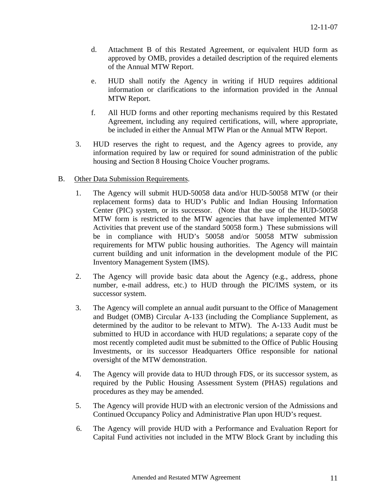- d. Attachment B of this Restated Agreement, or equivalent HUD form as approved by OMB, provides a detailed description of the required elements of the Annual MTW Report.
- e. HUD shall notify the Agency in writing if HUD requires additional information or clarifications to the information provided in the Annual MTW Report.
- f. All HUD forms and other reporting mechanisms required by this Restated Agreement, including any required certifications, will, where appropriate, be included in either the Annual MTW Plan or the Annual MTW Report.
- 3. HUD reserves the right to request, and the Agency agrees to provide, any information required by law or required for sound administration of the public housing and Section 8 Housing Choice Voucher programs.
- B. Other Data Submission Requirements.
	- 1. The Agency will submit HUD-50058 data and/or HUD-50058 MTW (or their replacement forms) data to HUD's Public and Indian Housing Information Center (PIC) system, or its successor. (Note that the use of the HUD-50058 MTW form is restricted to the MTW agencies that have implemented MTW Activities that prevent use of the standard 50058 form.) These submissions will be in compliance with HUD's 50058 and/or 50058 MTW submission requirements for MTW public housing authorities. The Agency will maintain current building and unit information in the development module of the PIC Inventory Management System (IMS).
	- 2. The Agency will provide basic data about the Agency (e.g., address, phone number, e-mail address, etc.) to HUD through the PIC/IMS system, or its successor system.
	- 3. The Agency will complete an annual audit pursuant to the Office of Management and Budget (OMB) Circular A-133 (including the Compliance Supplement, as determined by the auditor to be relevant to MTW). The A-133 Audit must be submitted to HUD in accordance with HUD regulations; a separate copy of the most recently completed audit must be submitted to the Office of Public Housing Investments, or its successor Headquarters Office responsible for national oversight of the MTW demonstration.
	- 4. The Agency will provide data to HUD through FDS, or its successor system, as required by the Public Housing Assessment System (PHAS) regulations and procedures as they may be amended.
	- 5. The Agency will provide HUD with an electronic version of the Admissions and Continued Occupancy Policy and Administrative Plan upon HUD's request.
	- 6. The Agency will provide HUD with a Performance and Evaluation Report for Capital Fund activities not included in the MTW Block Grant by including this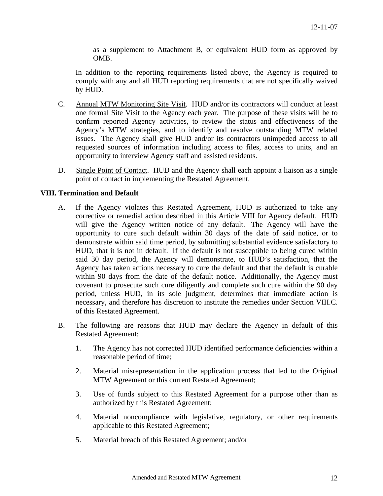as a supplement to Attachment B, or equivalent HUD form as approved by OMB.

In addition to the reporting requirements listed above, the Agency is required to comply with any and all HUD reporting requirements that are not specifically waived by HUD.

- C. Annual MTW Monitoring Site Visit. HUD and/or its contractors will conduct at least one formal Site Visit to the Agency each year. The purpose of these visits will be to confirm reported Agency activities, to review the status and effectiveness of the Agency's MTW strategies, and to identify and resolve outstanding MTW related issues. The Agency shall give HUD and/or its contractors unimpeded access to all requested sources of information including access to files, access to units, and an opportunity to interview Agency staff and assisted residents.
- D. Single Point of Contact. HUD and the Agency shall each appoint a liaison as a single point of contact in implementing the Restated Agreement.

## **VIII. Termination and Default**

- A. If the Agency violates this Restated Agreement, HUD is authorized to take any corrective or remedial action described in this Article VIII for Agency default. HUD will give the Agency written notice of any default. The Agency will have the opportunity to cure such default within 30 days of the date of said notice, or to demonstrate within said time period, by submitting substantial evidence satisfactory to HUD, that it is not in default. If the default is not susceptible to being cured within said 30 day period, the Agency will demonstrate, to HUD's satisfaction, that the Agency has taken actions necessary to cure the default and that the default is curable within 90 days from the date of the default notice. Additionally, the Agency must covenant to prosecute such cure diligently and complete such cure within the 90 day period, unless HUD, in its sole judgment, determines that immediate action is necessary, and therefore has discretion to institute the remedies under Section VIII.C. of this Restated Agreement.
- B. The following are reasons that HUD may declare the Agency in default of this Restated Agreement:
	- 1. The Agency has not corrected HUD identified performance deficiencies within a reasonable period of time;
	- 2. Material misrepresentation in the application process that led to the Original MTW Agreement or this current Restated Agreement;
	- 3. Use of funds subject to this Restated Agreement for a purpose other than as authorized by this Restated Agreement;
	- 4. Material noncompliance with legislative, regulatory, or other requirements applicable to this Restated Agreement;
	- 5. Material breach of this Restated Agreement; and/or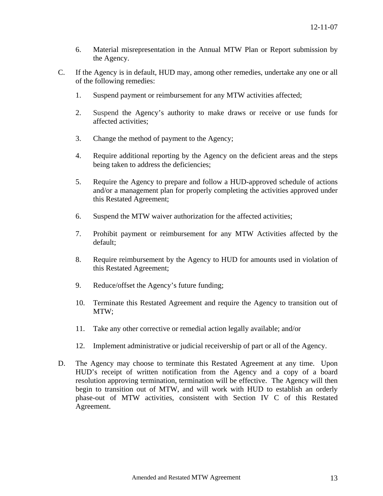- 6. Material misrepresentation in the Annual MTW Plan or Report submission by the Agency.
- C. If the Agency is in default, HUD may, among other remedies, undertake any one or all of the following remedies:
	- 1. Suspend payment or reimbursement for any MTW activities affected;
	- 2. Suspend the Agency's authority to make draws or receive or use funds for affected activities;
	- 3. Change the method of payment to the Agency;
	- 4. Require additional reporting by the Agency on the deficient areas and the steps being taken to address the deficiencies;
	- 5. Require the Agency to prepare and follow a HUD-approved schedule of actions and/or a management plan for properly completing the activities approved under this Restated Agreement;
	- 6. Suspend the MTW waiver authorization for the affected activities;
	- 7. Prohibit payment or reimbursement for any MTW Activities affected by the default;
	- 8. Require reimbursement by the Agency to HUD for amounts used in violation of this Restated Agreement;
	- 9. Reduce/offset the Agency's future funding;
	- 10. Terminate this Restated Agreement and require the Agency to transition out of MTW;
	- 11. Take any other corrective or remedial action legally available; and/or
	- 12. Implement administrative or judicial receivership of part or all of the Agency.
- D. The Agency may choose to terminate this Restated Agreement at any time. Upon HUD's receipt of written notification from the Agency and a copy of a board resolution approving termination, termination will be effective. The Agency will then begin to transition out of MTW, and will work with HUD to establish an orderly phase-out of MTW activities, consistent with Section IV C of this Restated Agreement.